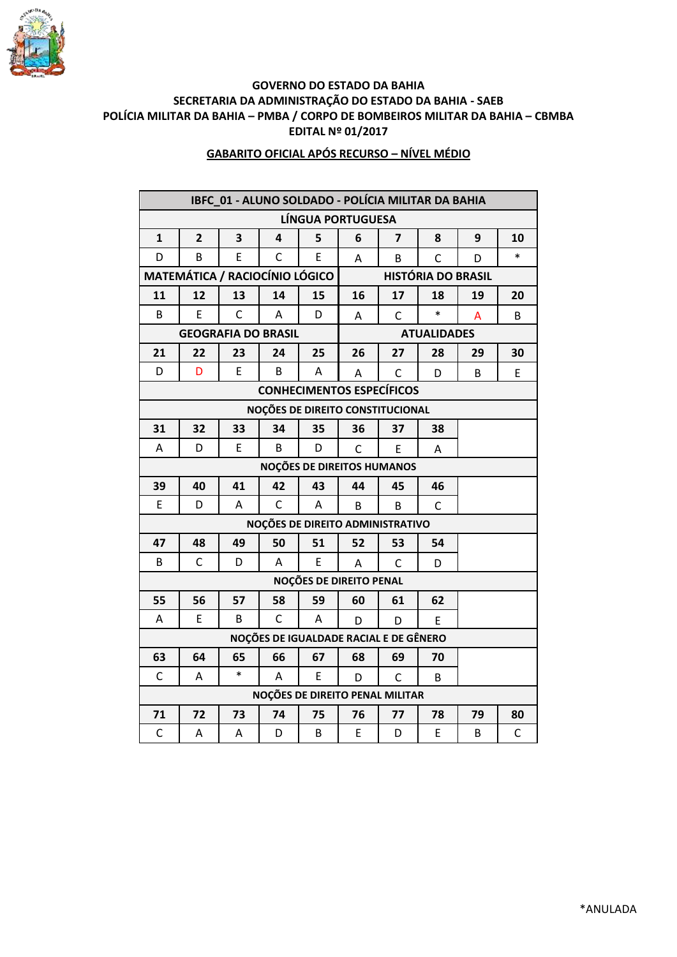

## **GOVERNO DO ESTADO DA BAHIA SECRETARIA DA ADMINISTRAÇÃO DO ESTADO DA BAHIA - SAEB POLÍCIA MILITAR DA BAHIA – PMBA / CORPO DE BOMBEIROS MILITAR DA BAHIA – CBMBA EDITAL Nº 01/2017**

## **GABARITO OFICIAL APÓS RECURSO – NÍVEL MÉDIO**

| IBFC_01 - ALUNO SOLDADO - POLÍCIA MILITAR DA BAHIA |                |                            |              |                                  |                    |                |              |    |              |  |  |
|----------------------------------------------------|----------------|----------------------------|--------------|----------------------------------|--------------------|----------------|--------------|----|--------------|--|--|
| LÍNGUA PORTUGUESA                                  |                |                            |              |                                  |                    |                |              |    |              |  |  |
| 1                                                  | $\overline{2}$ | 3                          | 4            | 5                                | 6                  | $\overline{7}$ | 8            | 9  | 10           |  |  |
| D                                                  | B              | E                          | C            | E                                | A                  | B              | C            | D  | $\ast$       |  |  |
| <b>MATEMÁTICA / RACIOCÍNIO LÓGICO</b>              |                |                            |              | <b>HISTÓRIA DO BRASIL</b>        |                    |                |              |    |              |  |  |
| 11                                                 | 12             | 13                         | 14           | 15                               | 16                 | 17             | 18           | 19 | 20           |  |  |
| B                                                  | E              | C                          | A            | D                                | A                  | $\mathsf{C}$   | $\ast$       | A  | B            |  |  |
|                                                    |                | <b>GEOGRAFIA DO BRASIL</b> |              |                                  | <b>ATUALIDADES</b> |                |              |    |              |  |  |
| 21                                                 | 22             | 23                         | 24           | 25                               | 26                 | 27             | 28           | 29 | 30           |  |  |
| D                                                  | D              | E                          | В            | А                                | A                  | $\mathsf{C}$   | D            | B  | E            |  |  |
| <b>CONHECIMENTOS ESPECÍFICOS</b>                   |                |                            |              |                                  |                    |                |              |    |              |  |  |
| NOÇÕES DE DIREITO CONSTITUCIONAL                   |                |                            |              |                                  |                    |                |              |    |              |  |  |
| 31                                                 | 32             | 33                         | 34           | 35                               | 36                 | 37             | 38           |    |              |  |  |
| A                                                  | D              | E                          | B            | D                                | C                  | E              | Α            |    |              |  |  |
| NOÇÕES DE DIREITOS HUMANOS                         |                |                            |              |                                  |                    |                |              |    |              |  |  |
| 39                                                 | 40             | 41                         | 42           | 43                               | 44                 | 45             | 46           |    |              |  |  |
| E                                                  | D              | A                          | $\mathsf{C}$ | A                                | B                  | B              | $\mathsf{C}$ |    |              |  |  |
|                                                    |                |                            |              | NOÇÕES DE DIREITO ADMINISTRATIVO |                    |                |              |    |              |  |  |
| 47                                                 | 48             | 49                         | 50           | 51                               | 52                 | 53             | 54           |    |              |  |  |
| В                                                  | C              | D                          | A            | E                                | A                  | C              | D            |    |              |  |  |
|                                                    |                |                            |              | NOÇÕES DE DIREITO PENAL          |                    |                |              |    |              |  |  |
| 55                                                 | 56             | 57                         | 58           | 59                               | 60                 | 61             | 62           |    |              |  |  |
| Α                                                  | E              | B                          | $\mathsf{C}$ | A                                | D                  | D              | E            |    |              |  |  |
| NOÇÕES DE IGUALDADE RACIAL E DE GÊNERO             |                |                            |              |                                  |                    |                |              |    |              |  |  |
| 63                                                 | 64             | 65                         | 66           | 67                               | 68                 | 69             | 70           |    |              |  |  |
| C                                                  | A              | $\ast$                     | A            | E.                               | D                  | C              | B            |    |              |  |  |
| NOÇÕES DE DIREITO PENAL MILITAR                    |                |                            |              |                                  |                    |                |              |    |              |  |  |
| 71                                                 | 72             | 73                         | 74           | 75                               | 76                 | 77             | 78           | 79 | 80           |  |  |
| $\mathsf{C}$                                       | A              | Α                          | D            | B                                | E                  | D              | E            | B  | $\mathsf{C}$ |  |  |